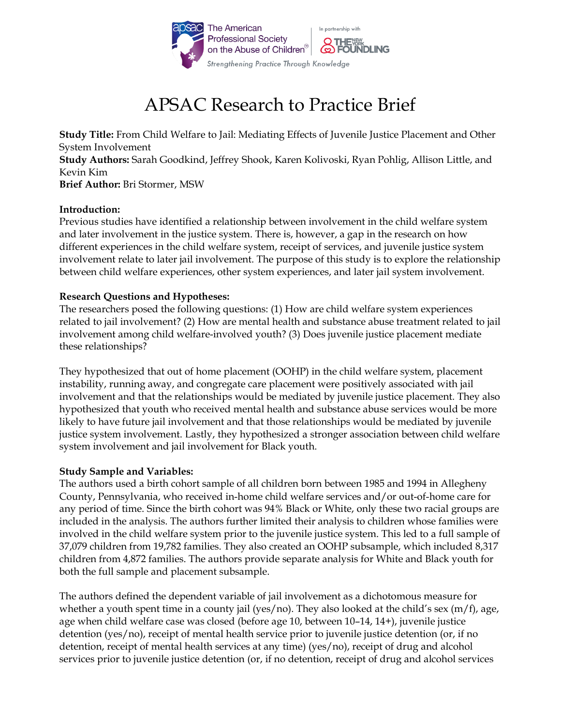

# APSAC Research to Practice Brief

**Study Title:** From Child Welfare to Jail: Mediating Effects of Juvenile Justice Placement and Other System Involvement **Study Authors:** Sarah Goodkind, Jeffrey Shook, Karen Kolivoski, Ryan Pohlig, Allison Little, and Kevin Kim **Brief Author:** Bri Stormer, MSW

### **Introduction:**

Previous studies have identified a relationship between involvement in the child welfare system and later involvement in the justice system. There is, however, a gap in the research on how different experiences in the child welfare system, receipt of services, and juvenile justice system involvement relate to later jail involvement. The purpose of this study is to explore the relationship between child welfare experiences, other system experiences, and later jail system involvement.

## **Research Questions and Hypotheses:**

The researchers posed the following questions: (1) How are child welfare system experiences related to jail involvement? (2) How are mental health and substance abuse treatment related to jail involvement among child welfare-involved youth? (3) Does juvenile justice placement mediate these relationships?

They hypothesized that out of home placement (OOHP) in the child welfare system, placement instability, running away, and congregate care placement were positively associated with jail involvement and that the relationships would be mediated by juvenile justice placement. They also hypothesized that youth who received mental health and substance abuse services would be more likely to have future jail involvement and that those relationships would be mediated by juvenile justice system involvement. Lastly, they hypothesized a stronger association between child welfare system involvement and jail involvement for Black youth.

# **Study Sample and Variables:**

The authors used a birth cohort sample of all children born between 1985 and 1994 in Allegheny County, Pennsylvania, who received in-home child welfare services and/or out-of-home care for any period of time. Since the birth cohort was 94% Black or White, only these two racial groups are included in the analysis. The authors further limited their analysis to children whose families were involved in the child welfare system prior to the juvenile justice system. This led to a full sample of 37,079 children from 19,782 families. They also created an OOHP subsample, which included 8,317 children from 4,872 families. The authors provide separate analysis for White and Black youth for both the full sample and placement subsample.

The authors defined the dependent variable of jail involvement as a dichotomous measure for whether a youth spent time in a county jail (yes/no). They also looked at the child's sex  $(m/f)$ , age, age when child welfare case was closed (before age 10, between 10–14, 14+), juvenile justice detention (yes/no), receipt of mental health service prior to juvenile justice detention (or, if no detention, receipt of mental health services at any time) (yes/no), receipt of drug and alcohol services prior to juvenile justice detention (or, if no detention, receipt of drug and alcohol services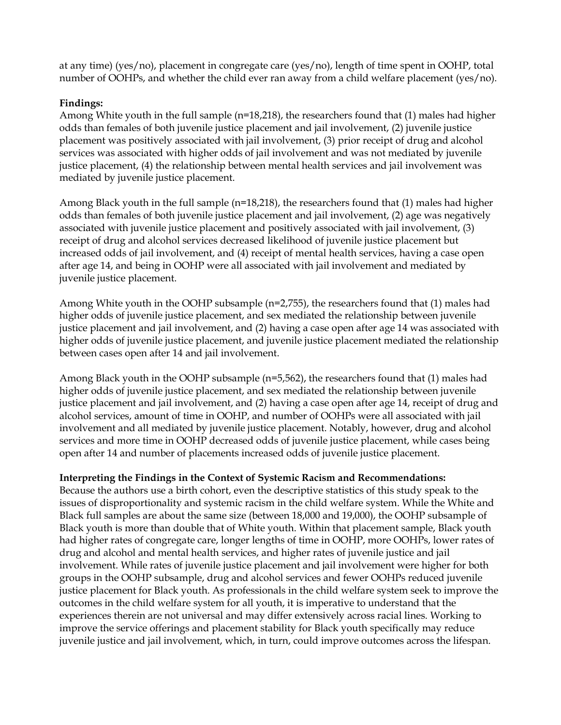at any time) (yes/no), placement in congregate care (yes/no), length of time spent in OOHP, total number of OOHPs, and whether the child ever ran away from a child welfare placement (yes/no).

# **Findings:**

Among White youth in the full sample (n=18,218), the researchers found that (1) males had higher odds than females of both juvenile justice placement and jail involvement, (2) juvenile justice placement was positively associated with jail involvement, (3) prior receipt of drug and alcohol services was associated with higher odds of jail involvement and was not mediated by juvenile justice placement, (4) the relationship between mental health services and jail involvement was mediated by juvenile justice placement.

Among Black youth in the full sample (n=18,218), the researchers found that (1) males had higher odds than females of both juvenile justice placement and jail involvement, (2) age was negatively associated with juvenile justice placement and positively associated with jail involvement, (3) receipt of drug and alcohol services decreased likelihood of juvenile justice placement but increased odds of jail involvement, and (4) receipt of mental health services, having a case open after age 14, and being in OOHP were all associated with jail involvement and mediated by juvenile justice placement.

Among White youth in the OOHP subsample (n=2,755), the researchers found that (1) males had higher odds of juvenile justice placement, and sex mediated the relationship between juvenile justice placement and jail involvement, and (2) having a case open after age 14 was associated with higher odds of juvenile justice placement, and juvenile justice placement mediated the relationship between cases open after 14 and jail involvement.

Among Black youth in the OOHP subsample (n=5,562), the researchers found that (1) males had higher odds of juvenile justice placement, and sex mediated the relationship between juvenile justice placement and jail involvement, and (2) having a case open after age 14, receipt of drug and alcohol services, amount of time in OOHP, and number of OOHPs were all associated with jail involvement and all mediated by juvenile justice placement. Notably, however, drug and alcohol services and more time in OOHP decreased odds of juvenile justice placement, while cases being open after 14 and number of placements increased odds of juvenile justice placement.

### **Interpreting the Findings in the Context of Systemic Racism and Recommendations:**

Because the authors use a birth cohort, even the descriptive statistics of this study speak to the issues of disproportionality and systemic racism in the child welfare system. While the White and Black full samples are about the same size (between 18,000 and 19,000), the OOHP subsample of Black youth is more than double that of White youth. Within that placement sample, Black youth had higher rates of congregate care, longer lengths of time in OOHP, more OOHPs, lower rates of drug and alcohol and mental health services, and higher rates of juvenile justice and jail involvement. While rates of juvenile justice placement and jail involvement were higher for both groups in the OOHP subsample, drug and alcohol services and fewer OOHPs reduced juvenile justice placement for Black youth. As professionals in the child welfare system seek to improve the outcomes in the child welfare system for all youth, it is imperative to understand that the experiences therein are not universal and may differ extensively across racial lines. Working to improve the service offerings and placement stability for Black youth specifically may reduce juvenile justice and jail involvement, which, in turn, could improve outcomes across the lifespan.